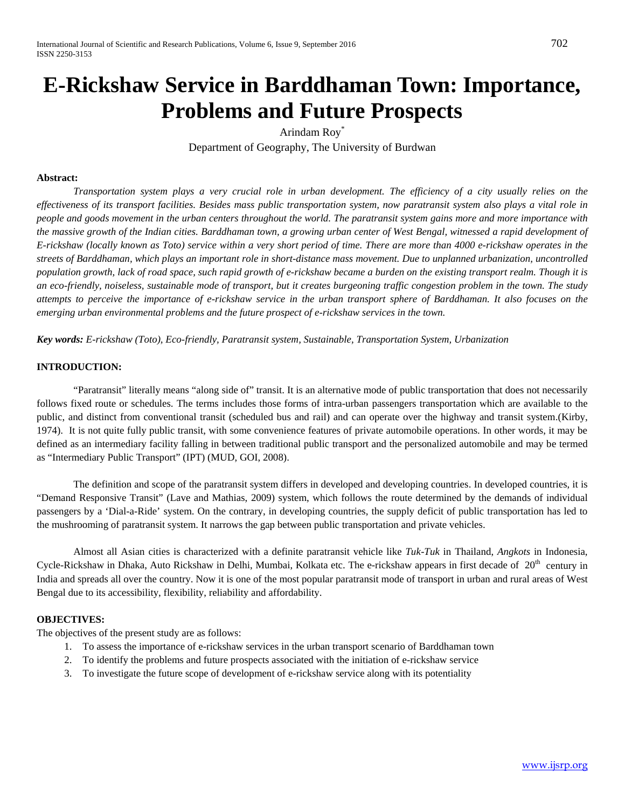# **E-Rickshaw Service in Barddhaman Town: Importance, Problems and Future Prospects**

Arindam Roy\* Department of Geography, The University of Burdwan

### **Abstract:**

*Transportation system plays a very crucial role in urban development. The efficiency of a city usually relies on the effectiveness of its transport facilities. Besides mass public transportation system, now paratransit system also plays a vital role in people and goods movement in the urban centers throughout the world. The paratransit system gains more and more importance with the massive growth of the Indian cities. Barddhaman town, a growing urban center of West Bengal, witnessed a rapid development of E-rickshaw (locally known as Toto) service within a very short period of time. There are more than 4000 e-rickshaw operates in the streets of Barddhaman, which plays an important role in short-distance mass movement. Due to unplanned urbanization, uncontrolled population growth, lack of road space, such rapid growth of e-rickshaw became a burden on the existing transport realm. Though it is an eco-friendly, noiseless, sustainable mode of transport, but it creates burgeoning traffic congestion problem in the town. The study attempts to perceive the importance of e-rickshaw service in the urban transport sphere of Barddhaman. It also focuses on the emerging urban environmental problems and the future prospect of e-rickshaw services in the town.*

*Key words: E-rickshaw (Toto), Eco-friendly, Paratransit system, Sustainable, Transportation System, Urbanization*

### **INTRODUCTION:**

"Paratransit" literally means "along side of" transit. It is an alternative mode of public transportation that does not necessarily follows fixed route or schedules. The terms includes those forms of intra-urban passengers transportation which are available to the public, and distinct from conventional transit (scheduled bus and rail) and can operate over the highway and transit system.(Kirby, 1974). It is not quite fully public transit, with some convenience features of private automobile operations. In other words, it may be defined as an intermediary facility falling in between traditional public transport and the personalized automobile and may be termed as "Intermediary Public Transport" (IPT) (MUD, GOI, 2008).

The definition and scope of the paratransit system differs in developed and developing countries. In developed countries, it is "Demand Responsive Transit" (Lave and Mathias, 2009) system, which follows the route determined by the demands of individual passengers by a 'Dial-a-Ride' system. On the contrary, in developing countries, the supply deficit of public transportation has led to the mushrooming of paratransit system. It narrows the gap between public transportation and private vehicles.

Almost all Asian cities is characterized with a definite paratransit vehicle like *Tuk-Tuk* in Thailand, *Angkots* in Indonesia, Cycle-Rickshaw in Dhaka, Auto Rickshaw in Delhi, Mumbai, Kolkata etc. The e-rickshaw appears in first decade of  $20<sup>th</sup>$  century in India and spreads all over the country. Now it is one of the most popular paratransit mode of transport in urban and rural areas of West Bengal due to its accessibility, flexibility, reliability and affordability.

#### **OBJECTIVES:**

The objectives of the present study are as follows:

- 1. To assess the importance of e-rickshaw services in the urban transport scenario of Barddhaman town
- 2. To identify the problems and future prospects associated with the initiation of e-rickshaw service
- 3. To investigate the future scope of development of e-rickshaw service along with its potentiality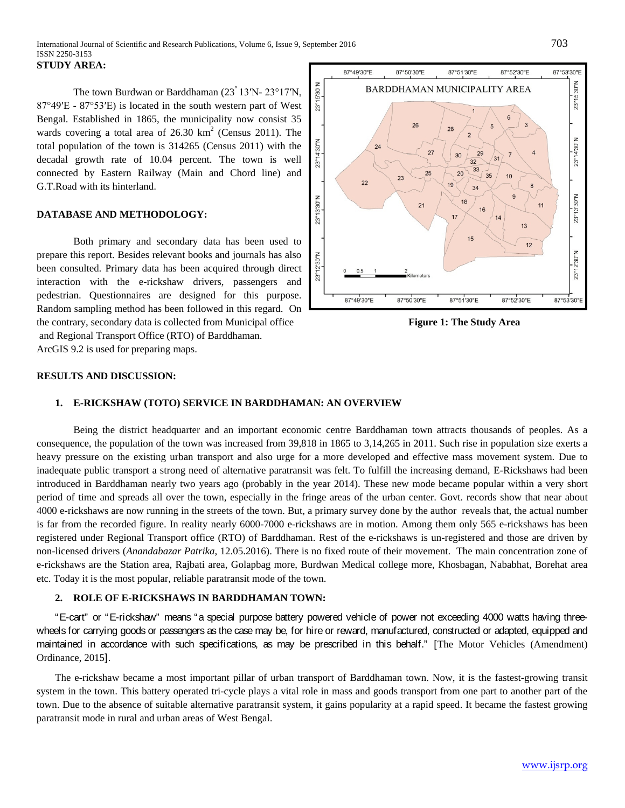The town Burdwan or Barddhaman (23° 13ʹN- 23°17ʹN, 87°49ʹE - 87°53ʹE) is located in the south western part of West Bengal. Established in 1865, the municipality now consist 35 wards covering a total area of  $26.30 \text{ km}^2$  (Census 2011). The total population of the town is 314265 (Census 2011) with the decadal growth rate of 10.04 percent. The town is well connected by Eastern Railway (Main and Chord line) and G.T.Road with its hinterland.

#### **DATABASE AND METHODOLOGY:**

Both primary and secondary data has been used to prepare this report. Besides relevant books and journals has also been consulted. Primary data has been acquired through direct interaction with the e-rickshaw drivers, passengers and pedestrian. Questionnaires are designed for this purpose. Random sampling method has been followed in this regard. On the contrary, secondary data is collected from Municipal office **Figure 1: The Study Area** and Regional Transport Office (RTO) of Barddhaman. ArcGIS 9.2 is used for preparing maps.



#### **RESULTS AND DISCUSSION:**

## **1. E-RICKSHAW (TOTO) SERVICE IN BARDDHAMAN: AN OVERVIEW**

Being the district headquarter and an important economic centre Barddhaman town attracts thousands of peoples. As a consequence, the population of the town was increased from 39,818 in 1865 to 3,14,265 in 2011. Such rise in population size exerts a heavy pressure on the existing urban transport and also urge for a more developed and effective mass movement system. Due to inadequate public transport a strong need of alternative paratransit was felt. To fulfill the increasing demand, E-Rickshaws had been introduced in Barddhaman nearly two years ago (probably in the year 2014). These new mode became popular within a very short period of time and spreads all over the town, especially in the fringe areas of the urban center. Govt. records show that near about 4000 e-rickshaws are now running in the streets of the town. But, a primary survey done by the author reveals that, the actual number is far from the recorded figure. In reality nearly 6000-7000 e-rickshaws are in motion. Among them only 565 e-rickshaws has been registered under Regional Transport office (RTO) of Barddhaman. Rest of the e-rickshaws is un-registered and those are driven by non-licensed drivers (*Anandabazar Patrika*, 12.05.2016). There is no fixed route of their movement. The main concentration zone of e-rickshaws are the Station area, Rajbati area, Golapbag more, Burdwan Medical college more, Khosbagan, Nababhat, Borehat area etc. Today it is the most popular, reliable paratransit mode of the town.

## **2. ROLE OF E-RICKSHAWS IN BARDDHAMAN TOWN:**

"E-cart" or "E-rickshaw" means "a special purpose battery powered vehicle of power not exceeding 4000 watts having threewheels for carrying goods or passengers as the case may be, for hire or reward, manufactured, constructed or adapted, equipped and maintained in accordance with such specifications, as may be prescribed in this behalf." [The Motor Vehicles (Amendment) Ordinance, 2015].

The e-rickshaw became a most important pillar of urban transport of Barddhaman town. Now, it is the fastest-growing transit system in the town. This battery operated tri-cycle plays a vital role in mass and goods transport from one part to another part of the town. Due to the absence of suitable alternative paratransit system, it gains popularity at a rapid speed. It became the fastest growing paratransit mode in rural and urban areas of West Bengal.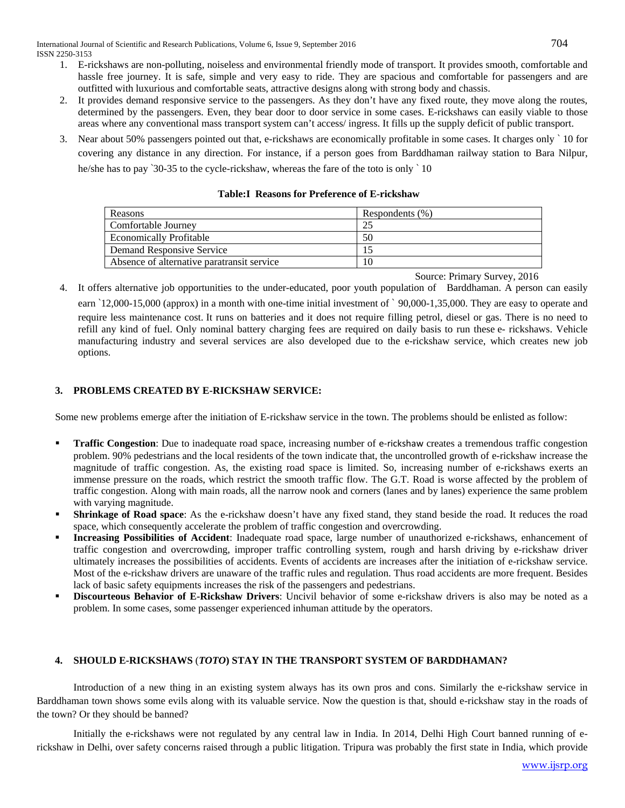- 1. E-rickshaws are non-polluting, noiseless and environmental friendly mode of transport. It provides smooth, comfortable and hassle free journey. It is safe, simple and very easy to ride. They are spacious and comfortable for passengers and are outfitted with luxurious and comfortable seats, attractive designs along with strong body and chassis.
- 2. It provides demand responsive service to the passengers. As they don't have any fixed route, they move along the routes, determined by the passengers. Even, they bear door to door service in some cases. E-rickshaws can easily viable to those areas where any conventional mass transport system can't access/ ingress. It fills up the supply deficit of public transport.
- 3. Near about 50% passengers pointed out that, e-rickshaws are economically profitable in some cases. It charges only ` 10 for covering any distance in any direction. For instance, if a person goes from Barddhaman railway station to Bara Nilpur, he/she has to pay '30-35 to the cycle-rickshaw, whereas the fare of the toto is only '10

| Reasons                                    | Respondents (%) |
|--------------------------------------------|-----------------|
| Comfortable Journey                        |                 |
| <b>Economically Profitable</b>             | 50              |
| Demand Responsive Service                  |                 |
| Absence of alternative paratransit service | 10              |

#### **Table:I Reasons for Preference of E-rickshaw**

Source: Primary Survey, 2016

4. It offers alternative job opportunities to the under-educated, poor youth population of Barddhaman. A person can easily earn `12,000-15,000 (approx) in a month with one-time initial investment of ` 90,000-1,35,000. They are easy to operate and require less maintenance cost. It runs on batteries and it does not require filling petrol, diesel or gas. There is no need to refill any kind of fuel. Only nominal battery charging fees are required on daily basis to run these e- rickshaws. Vehicle manufacturing industry and several services are also developed due to the e-rickshaw service, which creates new job options.

# **3. PROBLEMS CREATED BY E-RICKSHAW SERVICE:**

Some new problems emerge after the initiation of E-rickshaw service in the town. The problems should be enlisted as follow:

- **Traffic Congestion**: Due to inadequate road space, increasing number of e-rickshaw creates a tremendous traffic congestion problem. 90% pedestrians and the local residents of the town indicate that, the uncontrolled growth of e-rickshaw increase the magnitude of traffic congestion. As, the existing road space is limited. So, increasing number of e-rickshaws exerts an immense pressure on the roads, which restrict the smooth traffic flow. The G.T. Road is worse affected by the problem of traffic congestion. Along with main roads, all the narrow nook and corners (lanes and by lanes) experience the same problem with varying magnitude.
- **Shrinkage of Road space**: As the e-rickshaw doesn't have any fixed stand, they stand beside the road. It reduces the road space, which consequently accelerate the problem of traffic congestion and overcrowding.
- **Increasing Possibilities of Accident**: Inadequate road space, large number of unauthorized e-rickshaws, enhancement of traffic congestion and overcrowding, improper traffic controlling system, rough and harsh driving by e-rickshaw driver ultimately increases the possibilities of accidents. Events of accidents are increases after the initiation of e-rickshaw service. Most of the e-rickshaw drivers are unaware of the traffic rules and regulation. Thus road accidents are more frequent. Besides lack of basic safety equipments increases the risk of the passengers and pedestrians.
- **Discourteous Behavior of E-Rickshaw Drivers**: Uncivil behavior of some e-rickshaw drivers is also may be noted as a problem. In some cases, some passenger experienced inhuman attitude by the operators.

## **4. SHOULD E-RICKSHAWS** (*TOTO***) STAY IN THE TRANSPORT SYSTEM OF BARDDHAMAN?**

Introduction of a new thing in an existing system always has its own pros and cons. Similarly the e-rickshaw service in Barddhaman town shows some evils along with its valuable service. Now the question is that, should e-rickshaw stay in the roads of the town? Or they should be banned?

Initially the e-rickshaws were not regulated by any central law in India. In 2014, Delhi High Court banned running of erickshaw in Delhi, over safety concerns raised through a public litigation. Tripura was probably the first state in India, which provide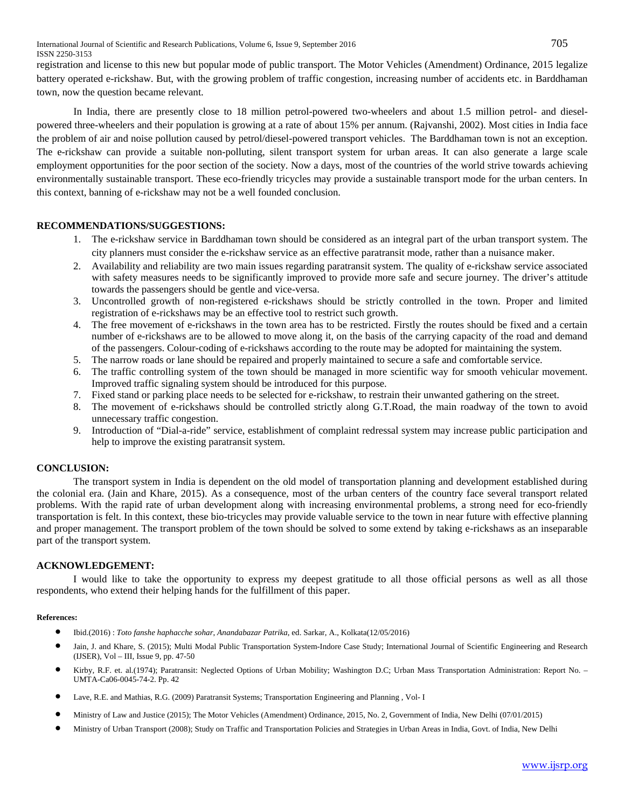International Journal of Scientific and Research Publications, Volume 6, Issue 9, September 2016 705 ISSN 2250-3153

registration and license to this new but popular mode of public transport. The Motor Vehicles (Amendment) Ordinance, 2015 legalize battery operated e-rickshaw. But, with the growing problem of traffic congestion, increasing number of accidents etc. in Barddhaman town, now the question became relevant.

In India, there are presently close to 18 million petrol-powered two-wheelers and about 1.5 million petrol- and dieselpowered three-wheelers and their population is growing at a rate of about 15% per annum. (Rajvanshi, 2002). Most cities in India face the problem of air and noise pollution caused by petrol/diesel-powered transport vehicles. The Barddhaman town is not an exception. The e-rickshaw can provide a suitable non-polluting, silent transport system for urban areas. It can also generate a large scale employment opportunities for the poor section of the society. Now a days, most of the countries of the world strive towards achieving environmentally sustainable transport. These eco-friendly tricycles may provide a sustainable transport mode for the urban centers. In this context, banning of e-rickshaw may not be a well founded conclusion.

### **RECOMMENDATIONS/SUGGESTIONS:**

- 1. The e-rickshaw service in Barddhaman town should be considered as an integral part of the urban transport system. The city planners must consider the e-rickshaw service as an effective paratransit mode, rather than a nuisance maker.
- 2. Availability and reliability are two main issues regarding paratransit system. The quality of e-rickshaw service associated with safety measures needs to be significantly improved to provide more safe and secure journey. The driver's attitude towards the passengers should be gentle and vice-versa.
- 3. Uncontrolled growth of non-registered e-rickshaws should be strictly controlled in the town. Proper and limited registration of e-rickshaws may be an effective tool to restrict such growth.
- 4. The free movement of e-rickshaws in the town area has to be restricted. Firstly the routes should be fixed and a certain number of e-rickshaws are to be allowed to move along it, on the basis of the carrying capacity of the road and demand of the passengers. Colour-coding of e-rickshaws according to the route may be adopted for maintaining the system.
- 5. The narrow roads or lane should be repaired and properly maintained to secure a safe and comfortable service.
- 6. The traffic controlling system of the town should be managed in more scientific way for smooth vehicular movement. Improved traffic signaling system should be introduced for this purpose.
- 7. Fixed stand or parking place needs to be selected for e-rickshaw, to restrain their unwanted gathering on the street.
- 8. The movement of e-rickshaws should be controlled strictly along G.T.Road, the main roadway of the town to avoid unnecessary traffic congestion.
- 9. Introduction of "Dial-a-ride" service, establishment of complaint redressal system may increase public participation and help to improve the existing paratransit system.

#### **CONCLUSION:**

The transport system in India is dependent on the old model of transportation planning and development established during the colonial era. (Jain and Khare, 2015). As a consequence, most of the urban centers of the country face several transport related problems. With the rapid rate of urban development along with increasing environmental problems, a strong need for eco-friendly transportation is felt. In this context, these bio-tricycles may provide valuable service to the town in near future with effective planning and proper management. The transport problem of the town should be solved to some extend by taking e-rickshaws as an inseparable part of the transport system.

#### **ACKNOWLEDGEMENT:**

I would like to take the opportunity to express my deepest gratitude to all those official persons as well as all those respondents, who extend their helping hands for the fulfillment of this paper.

#### **References:**

- Ibid.(2016) : *Toto fanshe haphacche sohar*, *Anandabazar Patrika*, ed. Sarkar, A., Kolkata(12/05/2016)
- Jain, J. and Khare, S. (2015); Multi Modal Public Transportation System-Indore Case Study; International Journal of Scientific Engineering and Research (IJSER), Vol – III, Issue 9, pp. 47-50
- Kirby, R.F. et. al.(1974); Paratransit: Neglected Options of Urban Mobility; Washington D.C; Urban Mass Transportation Administration: Report No. UMTA-Ca06-0045-74-2. Pp. 42
- Lave, R.E. and Mathias, R.G. (2009) Paratransit Systems; Transportation Engineering and Planning , Vol- <sup>I</sup>
- Ministry of Law and Justice (2015); The Motor Vehicles (Amendment) Ordinance, 2015, No. 2, Government of India, New Delhi (07/01/2015)
- Ministry of Urban Transport (2008); Study on Traffic and Transportation Policies and Strategies in Urban Areas in India, Govt. of India, New Delhi